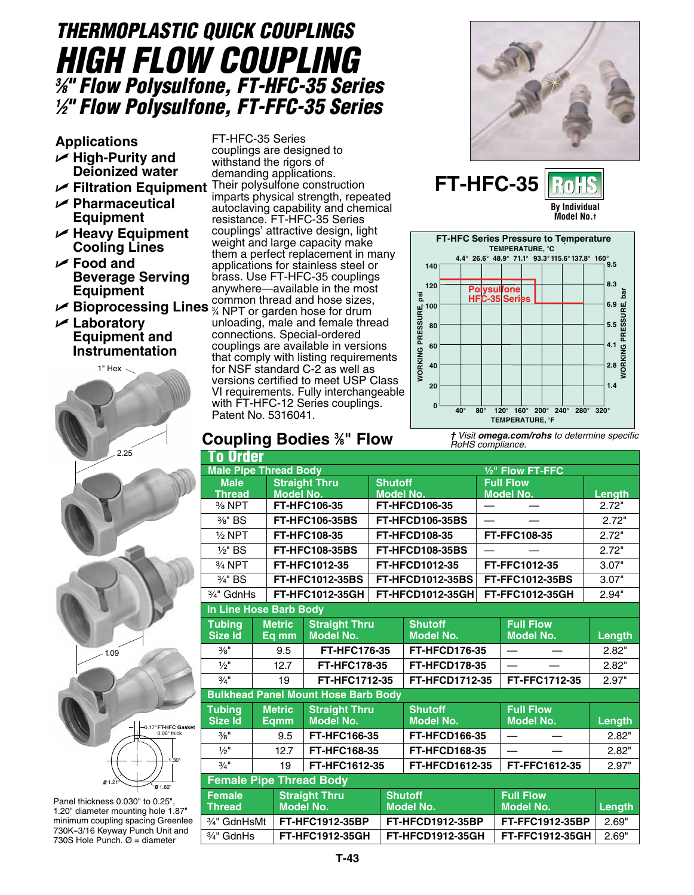# *THERMOPLASTIC QUICK COUPLINGS High Flow Coupling 3 ⁄8" Flow Polysulfone, FT-HFC-35 Series 1 ⁄2" Flow Polysulfone, FT-FFC-35 Series*

**Applications**

- U **High-Purity and Deionized water**
- U **Filtration Equipment**
- U **Pharmaceutical Equipment**
- U **Heavy Equipment Cooling Lines**
- U **Food and Beverage Serving Equipment**
- U **Bioprocessing Lines**
- U **Laboratory Equipment and Instrumentation**



Panel thickness 0.030" to 0.25" 1.20" diameter mounting hole 1.87" minimum coupling spacing Greenlee 730K--3/16 Keyway Punch Unit and 730S Hole Punch.  $\varnothing$  = diameter

FT-HFC-35 Series couplings are designed to withstand the rigors of demanding applications. Their polysulfone construction imparts physical strength, repeated autoclaving capability and chemical resistance. FT-HFC-35 Series couplings' attractive design, light weight and large capacity make them a perfect replacement in many applications for stainless steel or brass. Use FT-HFC-35 couplings anywhere—available in the most common thread and hose sizes,

3 ⁄4 NPT or garden hose for drum unloading, male and female thread connections. Special-ordered couplings are available in versions that comply with listing requirements for NSF standard C-2 as well as versions certified to meet USP Class VI requirements. Fully interchangeable with FT-HFC-12 Series couplings. Patent No. 5316041.









## **Coupling Bodies 3 ⁄8" Flow**

| 'o Order                       |      |                  |                                            |                               |                         |  |                     |        |  |  |  |  |
|--------------------------------|------|------------------|--------------------------------------------|-------------------------------|-------------------------|--|---------------------|--------|--|--|--|--|
| <b>Male Pipe Thread Body</b>   |      |                  |                                            | 1/ <sub>2</sub> " Flow FT-FFC |                         |  |                     |        |  |  |  |  |
|                                | Male |                  | <b>Straight Thru</b>                       | <b>Shutoff</b>                |                         |  | <b>Full Flow</b>    |        |  |  |  |  |
| <b>Thread</b>                  |      | <b>Model No.</b> |                                            | <b>Model No.</b>              |                         |  | Model No.           | Length |  |  |  |  |
| 3/ <sub>8</sub> NPT            |      |                  | FT-HFC106-35                               |                               | <b>FT-HFCD106-35</b>    |  |                     | 2.72"  |  |  |  |  |
| 3/8" BS                        |      |                  | <b>FT-HFC106-35BS</b>                      | FT-HFCD106-35BS               |                         |  |                     | 2.72"  |  |  |  |  |
| $1/2$ NPT                      |      |                  | FT-HFC108-35                               | <b>FT-HFCD108-35</b>          |                         |  | <b>FT-FFC108-35</b> | 2.72"  |  |  |  |  |
| $1/2$ " BS                     |      |                  | <b>FT-HFC108-35BS</b>                      | FT-HFCD108-35BS               |                         |  |                     | 2.72"  |  |  |  |  |
| 3/ <sub>4</sub> NPT            |      |                  | FT-HFC1012-35                              | <b>FT-HFCD1012-35</b>         |                         |  | FT-FFC1012-35       | 3.07"  |  |  |  |  |
| 3/4" BS                        |      |                  | <b>FT-HFC1012-35BS</b>                     | <b>FT-HFCD1012-35BS</b>       |                         |  | FT-FFC1012-35BS     | 3.07"  |  |  |  |  |
| 3/4" GdnHs                     |      |                  | FT-HFC1012-35GH                            |                               | FT-HFCD1012-35GH        |  | FT-FFC1012-35GH     | 2.94"  |  |  |  |  |
| In Line Hose Barb Body         |      |                  |                                            |                               |                         |  |                     |        |  |  |  |  |
| <b>Tubing</b>                  |      | <b>Metric</b>    | <b>Straight Thru</b>                       |                               | <b>Shutoff</b>          |  | <b>Full Flow</b>    |        |  |  |  |  |
| <b>Size Id</b>                 |      | Eq mm            | <b>Model No.</b>                           | <b>Model No.</b>              |                         |  | <b>Model No.</b>    | Length |  |  |  |  |
| $3/8$ <sup>II</sup>            |      | 9.5              | FT-HFC176-35                               |                               | <b>FT-HFCD176-35</b>    |  |                     | 2.82"  |  |  |  |  |
| $\frac{1}{2}$                  |      | 12.7             | FT-HFC178-35                               |                               | <b>FT-HFCD178-35</b>    |  |                     | 2.82"  |  |  |  |  |
| $3/4$ <sup>11</sup>            |      | 19               | FT-HFC1712-35                              |                               | <b>FT-HFCD1712-35</b>   |  | FT-FFC1712-35       | 2.97"  |  |  |  |  |
|                                |      |                  | <b>Bulkhead Panel Mount Hose Barb Body</b> |                               |                         |  |                     |        |  |  |  |  |
| <b>Tubing</b>                  |      |                  | <b>Metric</b><br><b>Straight Thru</b>      |                               | <b>Shutoff</b>          |  | <b>Full Flow</b>    |        |  |  |  |  |
| Size Id                        |      | Eqmm             | <b>Model No.</b>                           |                               | <b>Model No.</b>        |  | <b>Model No.</b>    | Length |  |  |  |  |
| $\frac{3}{8}$ "                | 9.5  |                  | FT-HFC166-35                               |                               | <b>FT-HFCD166-35</b>    |  |                     | 2.82"  |  |  |  |  |
| $1/2$ <sup>11</sup>            |      | 12.7             | FT-HFC168-35                               |                               | <b>FT-HFCD168-35</b>    |  |                     | 2.82"  |  |  |  |  |
| $3/4$ <sup>11</sup>            |      | 19               | FT-HFC1612-35                              |                               | FT-HFCD1612-35          |  | FT-FFC1612-35       | 2.97"  |  |  |  |  |
| <b>Female Pipe Thread Body</b> |      |                  |                                            |                               |                         |  |                     |        |  |  |  |  |
| <b>Female</b>                  |      |                  | <b>Straight Thru</b>                       |                               | <b>Shutoff</b>          |  | <b>Full Flow</b>    |        |  |  |  |  |
| <b>Thread</b>                  |      | <b>Model No.</b> |                                            | <b>Model No.</b>              |                         |  | <b>Model No.</b>    | Length |  |  |  |  |
| 3/4" GdnHsMt                   |      |                  | <b>FT-HFC1912-35BP</b>                     |                               | <b>FT-HFCD1912-35BP</b> |  | FT-FFC1912-35BP     | 2.69"  |  |  |  |  |
| 3/ <sub>4</sub> " GdnHs        |      |                  | FT-HFC1912-35GH                            |                               | <b>FT-HFCD1912-35GH</b> |  | FT-FFC1912-35GH     | 2.69"  |  |  |  |  |

*† Visit omega.com/rohs to determine specific RoHS compliance.*